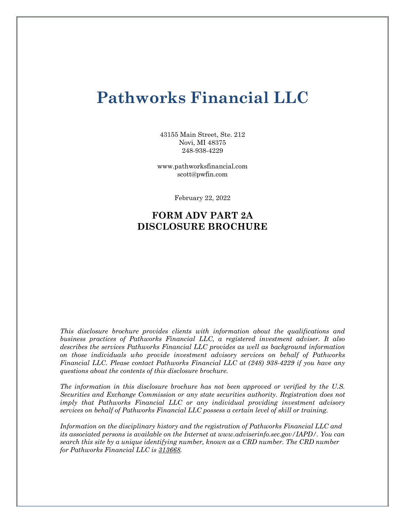# **Pathworks Financial LLC**

43155 Main Street, Ste. 212 Novi, MI 48375 248-938-4229

www.pathworksfinancial.com scott@pwfin.com

February 22, 2022

# **FORM ADV PART 2A DISCLOSURE BROCHURE**

*This disclosure brochure provides clients with information about the qualifications and business practices of Pathworks Financial LLC, a registered investment adviser. It also describes the services Pathworks Financial LLC provides as well as background information on those individuals who provide investment advisory services on behalf of Pathworks Financial LLC. Please contact Pathworks Financial LLC at (248) 938-4229 if you have any questions about the contents of this disclosure brochure.* 

*The information in this disclosure brochure has not been approved or verified by the U.S. Securities and Exchange Commission or any state securities authority. Registration does not imply that Pathworks Financial LLC or any individual providing investment advisory services on behalf of Pathworks Financial LLC possess a certain level of skill or training.*

*Information on the disciplinary history and the registration of Pathworks Financial LLC and its associated persons is available on the Internet at www.adviserinfo.sec.gov/IAPD/. You can search this site by a unique identifying number, known as a CRD number. The CRD number for Pathworks Financial LLC is 313668.*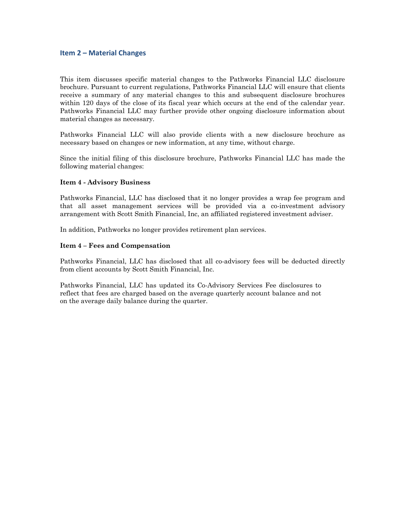# **Item 2 – Material Changes**

This item discusses specific material changes to the Pathworks Financial LLC disclosure brochure. Pursuant to current regulations, Pathworks Financial LLC will ensure that clients receive a summary of any material changes to this and subsequent disclosure brochures within 120 days of the close of its fiscal year which occurs at the end of the calendar year. Pathworks Financial LLC may further provide other ongoing disclosure information about material changes as necessary.

Pathworks Financial LLC will also provide clients with a new disclosure brochure as necessary based on changes or new information, at any time, without charge.

Since the initial filing of this disclosure brochure, Pathworks Financial LLC has made the following material changes:

# **Item 4 - Advisory Business**

Pathworks Financial, LLC has disclosed that it no longer provides a wrap fee program and that all asset management services will be provided via a co-investment advisory arrangement with Scott Smith Financial, Inc, an affiliated registered investment adviser.

In addition, Pathworks no longer provides retirement plan services.

### **Item 4 – Fees and Compensation**

Pathworks Financial, LLC has disclosed that all co-advisory fees will be deducted directly from client accounts by Scott Smith Financial, Inc.

Pathworks Financial, LLC has updated its Co-Advisory Services Fee disclosures to reflect that fees are charged based on the average quarterly account balance and not on the average daily balance during the quarter.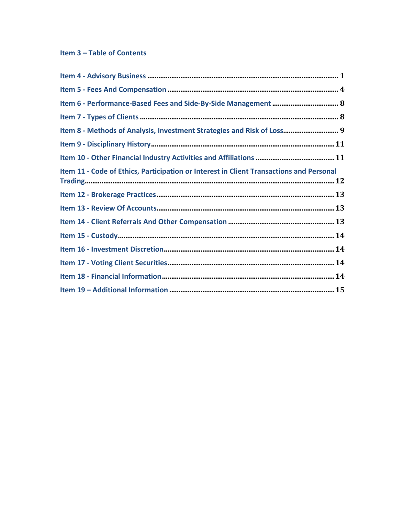# Item 3 - Table of Contents

| Item 8 - Methods of Analysis, Investment Strategies and Risk of Loss 9                  |
|-----------------------------------------------------------------------------------------|
|                                                                                         |
|                                                                                         |
| Item 11 - Code of Ethics, Participation or Interest in Client Transactions and Personal |
|                                                                                         |
|                                                                                         |
|                                                                                         |
|                                                                                         |
|                                                                                         |
|                                                                                         |
|                                                                                         |
|                                                                                         |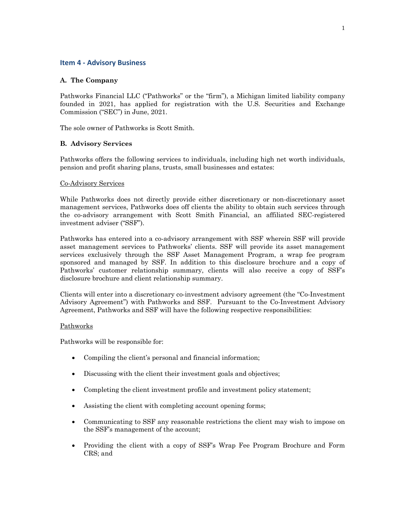# **Item 4 - Advisory Business**

# **A. The Company**

Pathworks Financial LLC ("Pathworks" or the "firm"), a Michigan limited liability company founded in 2021, has applied for registration with the U.S. Securities and Exchange Commission ("SEC") in June, 2021.

The sole owner of Pathworks is Scott Smith.

# **B. Advisory Services**

Pathworks offers the following services to individuals, including high net worth individuals, pension and profit sharing plans, trusts, small businesses and estates:

# Co-Advisory Services

While Pathworks does not directly provide either discretionary or non-discretionary asset management services, Pathworks does off clients the ability to obtain such services through the co-advisory arrangement with Scott Smith Financial, an affiliated SEC-registered investment adviser ("SSF").

Pathworks has entered into a co-advisory arrangement with SSF wherein SSF will provide asset management services to Pathworks' clients. SSF will provide its asset management services exclusively through the SSF Asset Management Program, a wrap fee program sponsored and managed by SSF. In addition to this disclosure brochure and a copy of Pathworks' customer relationship summary, clients will also receive a copy of SSF's disclosure brochure and client relationship summary.

Clients will enter into a discretionary co-investment advisory agreement (the "Co-Investment Advisory Agreement") with Pathworks and SSF. Pursuant to the Co-Investment Advisory Agreement, Pathworks and SSF will have the following respective responsibilities:

# Pathworks

Pathworks will be responsible for:

- Compiling the client's personal and financial information;
- Discussing with the client their investment goals and objectives;
- Completing the client investment profile and investment policy statement;
- Assisting the client with completing account opening forms;
- Communicating to SSF any reasonable restrictions the client may wish to impose on the SSF's management of the account;
- Providing the client with a copy of SSF's Wrap Fee Program Brochure and Form CRS; and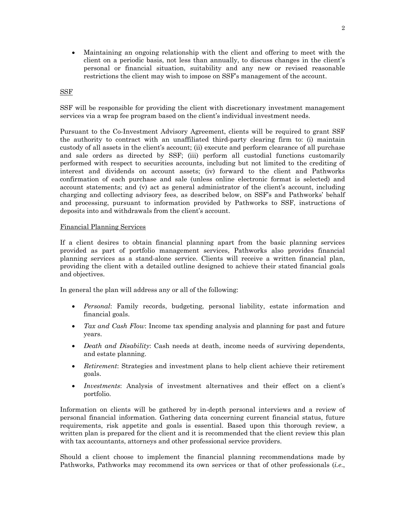• Maintaining an ongoing relationship with the client and offering to meet with the client on a periodic basis, not less than annually, to discuss changes in the client's personal or financial situation, suitability and any new or revised reasonable restrictions the client may wish to impose on SSF's management of the account.

# SSF

SSF will be responsible for providing the client with discretionary investment management services via a wrap fee program based on the client's individual investment needs.

Pursuant to the Co-Investment Advisory Agreement, clients will be required to grant SSF the authority to contract with an unaffiliated third-party clearing firm to: (i) maintain custody of all assets in the client's account; (ii) execute and perform clearance of all purchase and sale orders as directed by SSF; (iii) perform all custodial functions customarily performed with respect to securities accounts, including but not limited to the crediting of interest and dividends on account assets; (iv) forward to the client and Pathworks confirmation of each purchase and sale (unless online electronic format is selected) and account statements; and (v) act as general administrator of the client's account, including charging and collecting advisory fees, as described below, on SSF's and Pathworks' behalf and processing, pursuant to information provided by Pathworks to SSF, instructions of deposits into and withdrawals from the client's account.

### Financial Planning Services

If a client desires to obtain financial planning apart from the basic planning services provided as part of portfolio management services, Pathworks also provides financial planning services as a stand-alone service. Clients will receive a written financial plan, providing the client with a detailed outline designed to achieve their stated financial goals and objectives.

In general the plan will address any or all of the following:

- *Personal*: Family records, budgeting, personal liability, estate information and financial goals.
- *Tax and Cash Flow*: Income tax spending analysis and planning for past and future years.
- *Death and Disability:* Cash needs at death, income needs of surviving dependents, and estate planning.
- *Retirement*: Strategies and investment plans to help client achieve their retirement goals.
- *Investments*: Analysis of investment alternatives and their effect on a client's portfolio.

Information on clients will be gathered by in-depth personal interviews and a review of personal financial information. Gathering data concerning current financial status, future requirements, risk appetite and goals is essential. Based upon this thorough review, a written plan is prepared for the client and it is recommended that the client review this plan with tax accountants, attorneys and other professional service providers.

Should a client choose to implement the financial planning recommendations made by Pathworks, Pathworks may recommend its own services or that of other professionals (*i.e*.,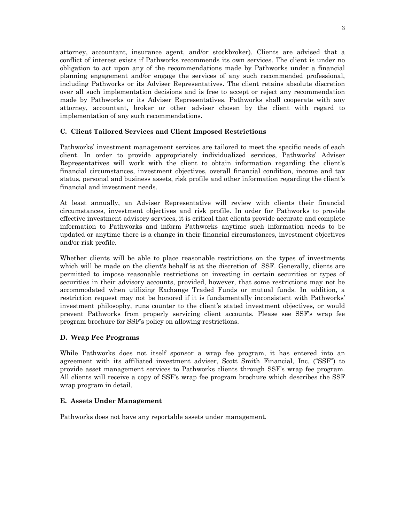attorney, accountant, insurance agent, and/or stockbroker). Clients are advised that a conflict of interest exists if Pathworks recommends its own services. The client is under no obligation to act upon any of the recommendations made by Pathworks under a financial planning engagement and/or engage the services of any such recommended professional, including Pathworks or its Adviser Representatives. The client retains absolute discretion over all such implementation decisions and is free to accept or reject any recommendation made by Pathworks or its Adviser Representatives. Pathworks shall cooperate with any attorney, accountant, broker or other adviser chosen by the client with regard to implementation of any such recommendations.

# **C. Client Tailored Services and Client Imposed Restrictions**

Pathworks' investment management services are tailored to meet the specific needs of each client. In order to provide appropriately individualized services, Pathworks' Adviser Representatives will work with the client to obtain information regarding the client's financial circumstances, investment objectives, overall financial condition, income and tax status, personal and business assets, risk profile and other information regarding the client's financial and investment needs.

At least annually, an Adviser Representative will review with clients their financial circumstances, investment objectives and risk profile. In order for Pathworks to provide effective investment advisory services, it is critical that clients provide accurate and complete information to Pathworks and inform Pathworks anytime such information needs to be updated or anytime there is a change in their financial circumstances, investment objectives and/or risk profile.

Whether clients will be able to place reasonable restrictions on the types of investments which will be made on the client's behalf is at the discretion of SSF. Generally, clients are permitted to impose reasonable restrictions on investing in certain securities or types of securities in their advisory accounts, provided, however, that some restrictions may not be accommodated when utilizing Exchange Traded Funds or mutual funds. In addition, a restriction request may not be honored if it is fundamentally inconsistent with Pathworks' investment philosophy, runs counter to the client's stated investment objectives, or would prevent Pathworks from properly servicing client accounts. Please see SSF's wrap fee program brochure for SSF's policy on allowing restrictions.

# **D. Wrap Fee Programs**

While Pathworks does not itself sponsor a wrap fee program, it has entered into an agreement with its affiliated investment adviser, Scott Smith Financial, Inc. ("SSF") to provide asset management services to Pathworks clients through SSF's wrap fee program. All clients will receive a copy of SSF's wrap fee program brochure which describes the SSF wrap program in detail.

# **E. Assets Under Management**

Pathworks does not have any reportable assets under management.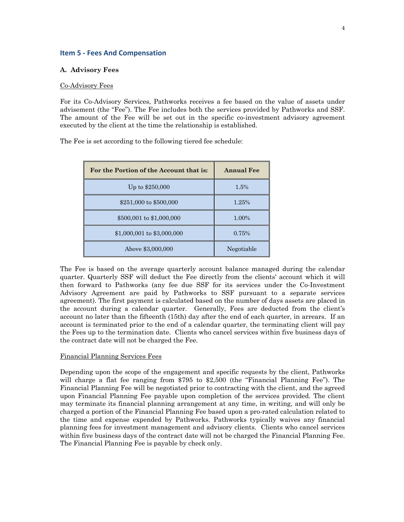### **Item 5 - Fees And Compensation**

### **A. Advisory Fees**

### Co-Advisory Fees

For its Co-Advisory Services, Pathworks receives a fee based on the value of assets under advisement (the "Fee"). The Fee includes both the services provided by Pathworks and SSF. The amount of the Fee will be set out in the specific co-investment advisory agreement executed by the client at the time the relationship is established.

The Fee is set according to the following tiered fee schedule:

| For the Portion of the Account that is: | <b>Annual Fee</b> |
|-----------------------------------------|-------------------|
| Up to \$250,000                         | 1.5%              |
| \$251,000 to \$500,000                  | 1.25%             |
| \$500,001 to \$1,000,000                | 1.00%             |
| \$1,000,001 to \$3,000,000              | 0.75%             |
| Above \$3,000,000                       | Negotiable        |

The Fee is based on the average quarterly account balance managed during the calendar quarter. Quarterly SSF will deduct the Fee directly from the clients' account which it will then forward to Pathworks (any fee due SSF for its services under the Co-Investment Advisory Agreement are paid by Pathworks to SSF pursuant to a separate services agreement). The first payment is calculated based on the number of days assets are placed in the account during a calendar quarter. Generally, Fees are deducted from the client's account no later than the fifteenth (15th) day after the end of each quarter, in arrears. If an account is terminated prior to the end of a calendar quarter, the terminating client will pay the Fees up to the termination date. Clients who cancel services within five business days of the contract date will not be charged the Fee.

#### Financial Planning Services Fees

Depending upon the scope of the engagement and specific requests by the client, Pathworks will charge a flat fee ranging from \$795 to \$2,500 (the "Financial Planning Fee"). The Financial Planning Fee will be negotiated prior to contracting with the client, and the agreed upon Financial Planning Fee payable upon completion of the services provided. The client may terminate its financial planning arrangement at any time, in writing, and will only be charged a portion of the Financial Planning Fee based upon a pro-rated calculation related to the time and expense expended by Pathworks. Pathworks typically waives any financial planning fees for investment management and advisory clients. Clients who cancel services within five business days of the contract date will not be charged the Financial Planning Fee. The Financial Planning Fee is payable by check only.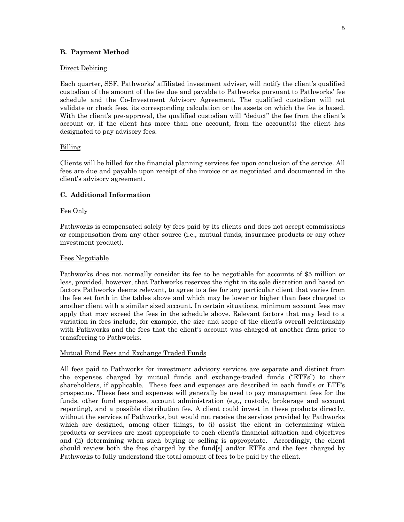### **B. Payment Method**

### Direct Debiting

Each quarter, SSF, Pathworks' affiliated investment adviser, will notify the client's qualified custodian of the amount of the fee due and payable to Pathworks pursuant to Pathworks' fee schedule and the Co-Investment Advisory Agreement. The qualified custodian will not validate or check fees, its corresponding calculation or the assets on which the fee is based. With the client's pre-approval, the qualified custodian will "deduct" the fee from the client's account or, if the client has more than one account, from the account(s) the client has designated to pay advisory fees.

### Billing

Clients will be billed for the financial planning services fee upon conclusion of the service. All fees are due and payable upon receipt of the invoice or as negotiated and documented in the client's advisory agreement.

### **C. Additional Information**

### Fee Only

Pathworks is compensated solely by fees paid by its clients and does not accept commissions or compensation from any other source (i.e., mutual funds, insurance products or any other investment product).

### Fees Negotiable

Pathworks does not normally consider its fee to be negotiable for accounts of \$5 million or less, provided, however, that Pathworks reserves the right in its sole discretion and based on factors Pathworks deems relevant, to agree to a fee for any particular client that varies from the fee set forth in the tables above and which may be lower or higher than fees charged to another client with a similar sized account. In certain situations, minimum account fees may apply that may exceed the fees in the schedule above. Relevant factors that may lead to a variation in fees include, for example, the size and scope of the client's overall relationship with Pathworks and the fees that the client's account was charged at another firm prior to transferring to Pathworks.

### Mutual Fund Fees and Exchange Traded Funds

All fees paid to Pathworks for investment advisory services are separate and distinct from the expenses charged by mutual funds and exchange-traded funds ("ETFs") to their shareholders, if applicable. These fees and expenses are described in each fund's or ETF's prospectus. These fees and expenses will generally be used to pay management fees for the funds, other fund expenses, account administration (e.g., custody, brokerage and account reporting), and a possible distribution fee. A client could invest in these products directly, without the services of Pathworks, but would not receive the services provided by Pathworks which are designed, among other things, to (i) assist the client in determining which products or services are most appropriate to each client's financial situation and objectives and (ii) determining when such buying or selling is appropriate. Accordingly, the client should review both the fees charged by the fund[s] and/or ETFs and the fees charged by Pathworks to fully understand the total amount of fees to be paid by the client.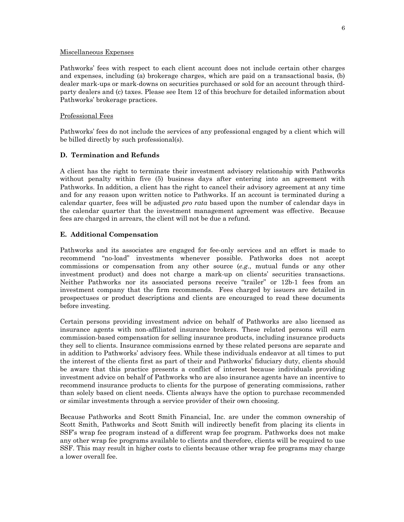### Miscellaneous Expenses

Pathworks' fees with respect to each client account does not include certain other charges and expenses, including (a) brokerage charges, which are paid on a transactional basis, (b) dealer mark-ups or mark-downs on securities purchased or sold for an account through thirdparty dealers and (c) taxes. Please see Item 12 of this brochure for detailed information about Pathworks' brokerage practices.

# Professional Fees

Pathworks' fees do not include the services of any professional engaged by a client which will be billed directly by such professional(s).

# **D. Termination and Refunds**

A client has the right to terminate their investment advisory relationship with Pathworks without penalty within five (5) business days after entering into an agreement with Pathworks. In addition, a client has the right to cancel their advisory agreement at any time and for any reason upon written notice to Pathworks. If an account is terminated during a calendar quarter, fees will be adjusted *pro rata* based upon the number of calendar days in the calendar quarter that the investment management agreement was effective. Because fees are charged in arrears, the client will not be due a refund.

# **E. Additional Compensation**

Pathworks and its associates are engaged for fee-only services and an effort is made to recommend "no-load" investments whenever possible. Pathworks does not accept commissions or compensation from any other source (*e.g*., mutual funds or any other investment product) and does not charge a mark-up on clients' securities transactions. Neither Pathworks nor its associated persons receive "trailer" or 12b-1 fees from an investment company that the firm recommends. Fees charged by issuers are detailed in prospectuses or product descriptions and clients are encouraged to read these documents before investing.

Certain persons providing investment advice on behalf of Pathworks are also licensed as insurance agents with non-affiliated insurance brokers. These related persons will earn commission-based compensation for selling insurance products, including insurance products they sell to clients. Insurance commissions earned by these related persons are separate and in addition to Pathworks' advisory fees. While these individuals endeavor at all times to put the interest of the clients first as part of their and Pathworks' fiduciary duty, clients should be aware that this practice presents a conflict of interest because individuals providing investment advice on behalf of Pathworks who are also insurance agents have an incentive to recommend insurance products to clients for the purpose of generating commissions, rather than solely based on client needs. Clients always have the option to purchase recommended or similar investments through a service provider of their own choosing.

Because Pathworks and Scott Smith Financial, Inc. are under the common ownership of Scott Smith, Pathworks and Scott Smith will indirectly benefit from placing its clients in SSF's wrap fee program instead of a different wrap fee program. Pathworks does not make any other wrap fee programs available to clients and therefore, clients will be required to use SSF. This may result in higher costs to clients because other wrap fee programs may charge a lower overall fee.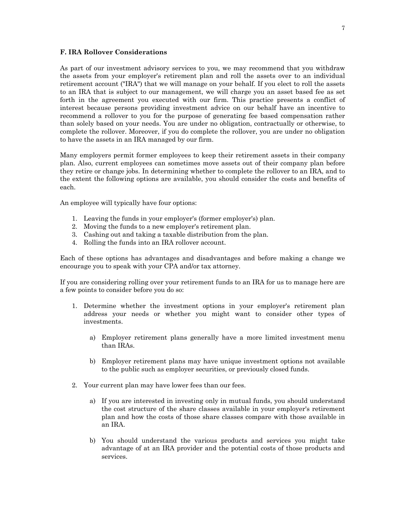### **F. IRA Rollover Considerations**

As part of our investment advisory services to you, we may recommend that you withdraw the assets from your employer's retirement plan and roll the assets over to an individual retirement account ("IRA") that we will manage on your behalf. If you elect to roll the assets to an IRA that is subject to our management, we will charge you an asset based fee as set forth in the agreement you executed with our firm. This practice presents a conflict of interest because persons providing investment advice on our behalf have an incentive to recommend a rollover to you for the purpose of generating fee based compensation rather than solely based on your needs. You are under no obligation, contractually or otherwise, to complete the rollover. Moreover, if you do complete the rollover, you are under no obligation to have the assets in an IRA managed by our firm.

Many employers permit former employees to keep their retirement assets in their company plan. Also, current employees can sometimes move assets out of their company plan before they retire or change jobs. In determining whether to complete the rollover to an IRA, and to the extent the following options are available, you should consider the costs and benefits of each.

An employee will typically have four options:

- 1. Leaving the funds in your employer's (former employer's) plan.
- 2. Moving the funds to a new employer's retirement plan.
- 3. Cashing out and taking a taxable distribution from the plan.
- 4. Rolling the funds into an IRA rollover account.

Each of these options has advantages and disadvantages and before making a change we encourage you to speak with your CPA and/or tax attorney.

If you are considering rolling over your retirement funds to an IRA for us to manage here are a few points to consider before you do so:

- 1. Determine whether the investment options in your employer's retirement plan address your needs or whether you might want to consider other types of investments.
	- a) Employer retirement plans generally have a more limited investment menu than IRAs.
	- b) Employer retirement plans may have unique investment options not available to the public such as employer securities, or previously closed funds.
- 2. Your current plan may have lower fees than our fees.
	- a) If you are interested in investing only in mutual funds, you should understand the cost structure of the share classes available in your employer's retirement plan and how the costs of those share classes compare with those available in an IRA.
	- b) You should understand the various products and services you might take advantage of at an IRA provider and the potential costs of those products and services.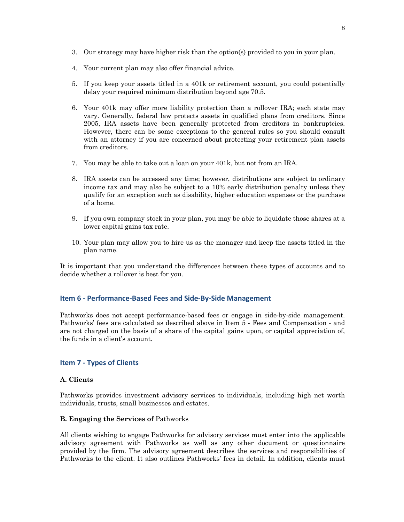- 3. Our strategy may have higher risk than the option(s) provided to you in your plan.
- 4. Your current plan may also offer financial advice.
- 5. If you keep your assets titled in a 401k or retirement account, you could potentially delay your required minimum distribution beyond age 70.5.
- 6. Your 401k may offer more liability protection than a rollover IRA; each state may vary. Generally, federal law protects assets in qualified plans from creditors. Since 2005, IRA assets have been generally protected from creditors in bankruptcies. However, there can be some exceptions to the general rules so you should consult with an attorney if you are concerned about protecting your retirement plan assets from creditors.
- 7. You may be able to take out a loan on your 401k, but not from an IRA.
- 8. IRA assets can be accessed any time; however, distributions are subject to ordinary income tax and may also be subject to a 10% early distribution penalty unless they qualify for an exception such as disability, higher education expenses or the purchase of a home.
- 9. If you own company stock in your plan, you may be able to liquidate those shares at a lower capital gains tax rate.
- 10. Your plan may allow you to hire us as the manager and keep the assets titled in the plan name.

It is important that you understand the differences between these types of accounts and to decide whether a rollover is best for you.

# **Item 6 - Performance-Based Fees and Side-By-Side Management**

Pathworks does not accept performance-based fees or engage in side-by-side management. Pathworks' fees are calculated as described above in Item 5 - Fees and Compensation - and are not charged on the basis of a share of the capital gains upon, or capital appreciation of, the funds in a client's account.

# **Item 7 - Types of Clients**

# **A. Clients**

Pathworks provides investment advisory services to individuals, including high net worth individuals, trusts, small businesses and estates.

### **B. Engaging the Services of** Pathworks

All clients wishing to engage Pathworks for advisory services must enter into the applicable advisory agreement with Pathworks as well as any other document or questionnaire provided by the firm. The advisory agreement describes the services and responsibilities of Pathworks to the client. It also outlines Pathworks' fees in detail. In addition, clients must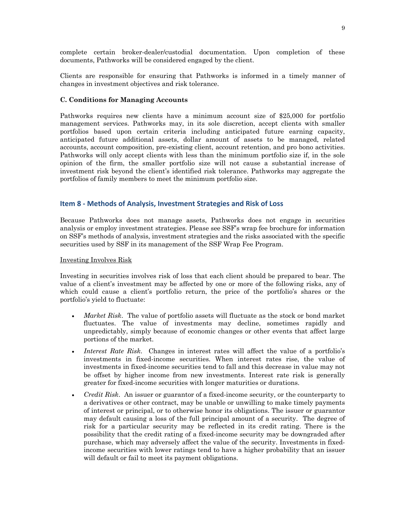complete certain broker-dealer/custodial documentation. Upon completion of these documents, Pathworks will be considered engaged by the client.

Clients are responsible for ensuring that Pathworks is informed in a timely manner of changes in investment objectives and risk tolerance.

### **C. Conditions for Managing Accounts**

Pathworks requires new clients have a minimum account size of \$25,000 for portfolio management services. Pathworks may, in its sole discretion, accept clients with smaller portfolios based upon certain criteria including anticipated future earning capacity, anticipated future additional assets, dollar amount of assets to be managed, related accounts, account composition, pre-existing client, account retention, and pro bono activities. Pathworks will only accept clients with less than the minimum portfolio size if, in the sole opinion of the firm, the smaller portfolio size will not cause a substantial increase of investment risk beyond the client's identified risk tolerance. Pathworks may aggregate the portfolios of family members to meet the minimum portfolio size.

### **Item 8 - Methods of Analysis, Investment Strategies and Risk of Loss**

Because Pathworks does not manage assets, Pathworks does not engage in securities analysis or employ investment strategies. Please see SSF's wrap fee brochure for information on SSF's methods of analysis, investment strategies and the risks associated with the specific securities used by SSF in its management of the SSF Wrap Fee Program.

### Investing Involves Risk

Investing in securities involves risk of loss that each client should be prepared to bear. The value of a client's investment may be affected by one or more of the following risks, any of which could cause a client's portfolio return, the price of the portfolio's shares or the portfolio's yield to fluctuate:

- *Market Risk*. The value of portfolio assets will fluctuate as the stock or bond market fluctuates. The value of investments may decline, sometimes rapidly and unpredictably, simply because of economic changes or other events that affect large portions of the market.
- *Interest Rate Risk*. Changes in interest rates will affect the value of a portfolio's investments in fixed-income securities. When interest rates rise, the value of investments in fixed-income securities tend to fall and this decrease in value may not be offset by higher income from new investments. Interest rate risk is generally greater for fixed-income securities with longer maturities or durations.
- *Credit Risk*. An issuer or guarantor of a fixed-income security, or the counterparty to a derivatives or other contract, may be unable or unwilling to make timely payments of interest or principal, or to otherwise honor its obligations. The issuer or guarantor may default causing a loss of the full principal amount of a security. The degree of risk for a particular security may be reflected in its credit rating. There is the possibility that the credit rating of a fixed-income security may be downgraded after purchase, which may adversely affect the value of the security. Investments in fixedincome securities with lower ratings tend to have a higher probability that an issuer will default or fail to meet its payment obligations.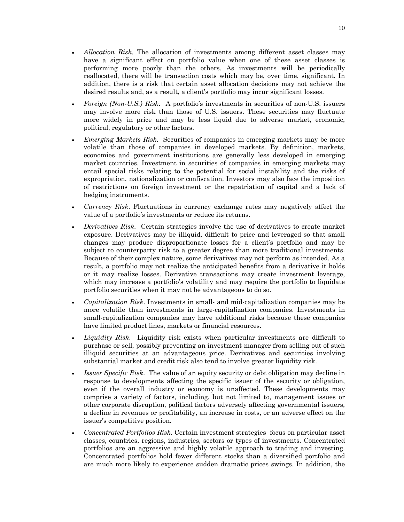- *Allocation Risk*. The allocation of investments among different asset classes may have a significant effect on portfolio value when one of these asset classes is performing more poorly than the others. As investments will be periodically reallocated, there will be transaction costs which may be, over time, significant. In addition, there is a risk that certain asset allocation decisions may not achieve the desired results and, as a result, a client's portfolio may incur significant losses.
- *Foreign (Non-U.S.) Risk*. A portfolio's investments in securities of non-U.S. issuers may involve more risk than those of U.S. issuers. These securities may fluctuate more widely in price and may be less liquid due to adverse market, economic, political, regulatory or other factors.
- *Emerging Markets Risk*. Securities of companies in emerging markets may be more volatile than those of companies in developed markets. By definition, markets, economies and government institutions are generally less developed in emerging market countries. Investment in securities of companies in emerging markets may entail special risks relating to the potential for social instability and the risks of expropriation, nationalization or confiscation. Investors may also face the imposition of restrictions on foreign investment or the repatriation of capital and a lack of hedging instruments.
- *Currency Risk*. Fluctuations in currency exchange rates may negatively affect the value of a portfolio's investments or reduce its returns.
- *Derivatives Risk*. Certain strategies involve the use of derivatives to create market exposure. Derivatives may be illiquid, difficult to price and leveraged so that small changes may produce disproportionate losses for a client's portfolio and may be subject to counterparty risk to a greater degree than more traditional investments. Because of their complex nature, some derivatives may not perform as intended. As a result, a portfolio may not realize the anticipated benefits from a derivative it holds or it may realize losses. Derivative transactions may create investment leverage, which may increase a portfolio's volatility and may require the portfolio to liquidate portfolio securities when it may not be advantageous to do so.
- *Capitalization Risk*. Investments in small- and mid-capitalization companies may be more volatile than investments in large-capitalization companies. Investments in small-capitalization companies may have additional risks because these companies have limited product lines, markets or financial resources.
- *Liquidity Risk*. Liquidity risk exists when particular investments are difficult to purchase or sell, possibly preventing an investment manager from selling out of such illiquid securities at an advantageous price. Derivatives and securities involving substantial market and credit risk also tend to involve greater liquidity risk.
- *Issuer Specific Risk*. The value of an equity security or debt obligation may decline in response to developments affecting the specific issuer of the security or obligation, even if the overall industry or economy is unaffected. These developments may comprise a variety of factors, including, but not limited to, management issues or other corporate disruption, political factors adversely affecting governmental issuers, a decline in revenues or profitability, an increase in costs, or an adverse effect on the issuer's competitive position.
- *Concentrated Portfolios Risk*. Certain investment strategies focus on particular asset classes, countries, regions, industries, sectors or types of investments. Concentrated portfolios are an aggressive and highly volatile approach to trading and investing. Concentrated portfolios hold fewer different stocks than a diversified portfolio and are much more likely to experience sudden dramatic prices swings. In addition, the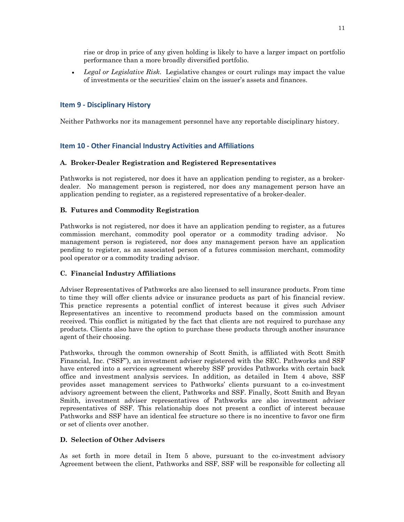rise or drop in price of any given holding is likely to have a larger impact on portfolio performance than a more broadly diversified portfolio.

• *Legal or Legislative Risk*. Legislative changes or court rulings may impact the value of investments or the securities' claim on the issuer's assets and finances.

# **Item 9 - Disciplinary History**

Neither Pathworks nor its management personnel have any reportable disciplinary history.

# **Item 10 - Other Financial Industry Activities and Affiliations**

# **A. Broker-Dealer Registration and Registered Representatives**

Pathworks is not registered, nor does it have an application pending to register, as a brokerdealer. No management person is registered, nor does any management person have an application pending to register, as a registered representative of a broker-dealer.

# **B. Futures and Commodity Registration**

Pathworks is not registered, nor does it have an application pending to register, as a futures commission merchant, commodity pool operator or a commodity trading advisor. No management person is registered, nor does any management person have an application pending to register, as an associated person of a futures commission merchant, commodity pool operator or a commodity trading advisor.

# **C. Financial Industry Affiliations**

Adviser Representatives of Pathworks are also licensed to sell insurance products. From time to time they will offer clients advice or insurance products as part of his financial review. This practice represents a potential conflict of interest because it gives such Adviser Representatives an incentive to recommend products based on the commission amount received. This conflict is mitigated by the fact that clients are not required to purchase any products. Clients also have the option to purchase these products through another insurance agent of their choosing.

Pathworks, through the common ownership of Scott Smith, is affiliated with Scott Smith Financial, Inc. ("SSF"), an investment adviser registered with the SEC. Pathworks and SSF have entered into a services agreement whereby SSF provides Pathworks with certain back office and investment analysis services. In addition, as detailed in Item 4 above, SSF provides asset management services to Pathworks' clients pursuant to a co-investment advisory agreement between the client, Pathworks and SSF. Finally, Scott Smith and Bryan Smith, investment adviser representatives of Pathworks are also investment adviser representatives of SSF. This relationship does not present a conflict of interest because Pathworks and SSF have an identical fee structure so there is no incentive to favor one firm or set of clients over another.

# **D. Selection of Other Advisers**

As set forth in more detail in Item 5 above, pursuant to the co-investment advisory Agreement between the client, Pathworks and SSF, SSF will be responsible for collecting all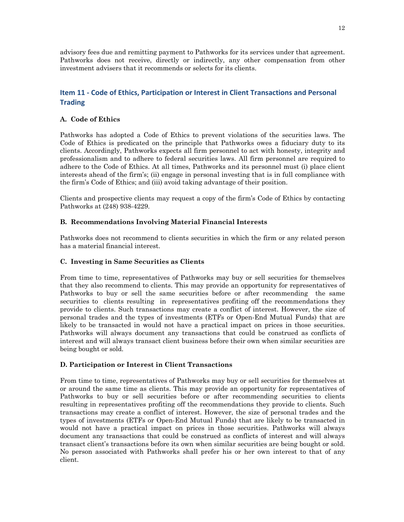advisory fees due and remitting payment to Pathworks for its services under that agreement. Pathworks does not receive, directly or indirectly, any other compensation from other investment advisers that it recommends or selects for its clients.

# **Item 11 - Code of Ethics, Participation or Interest in Client Transactions and Personal Trading**

# **A. Code of Ethics**

Pathworks has adopted a Code of Ethics to prevent violations of the securities laws. The Code of Ethics is predicated on the principle that Pathworks owes a fiduciary duty to its clients. Accordingly, Pathworks expects all firm personnel to act with honesty, integrity and professionalism and to adhere to federal securities laws. All firm personnel are required to adhere to the Code of Ethics. At all times, Pathworks and its personnel must (i) place client interests ahead of the firm's; (ii) engage in personal investing that is in full compliance with the firm's Code of Ethics; and (iii) avoid taking advantage of their position.

Clients and prospective clients may request a copy of the firm's Code of Ethics by contacting Pathworks at (248) 938-4229.

# **B. Recommendations Involving Material Financial Interests**

Pathworks does not recommend to clients securities in which the firm or any related person has a material financial interest.

# **C. Investing in Same Securities as Clients**

From time to time, representatives of Pathworks may buy or sell securities for themselves that they also recommend to clients. This may provide an opportunity for representatives of Pathworks to buy or sell the same securities before or after recommending the same securities to clients resulting in representatives profiting off the recommendations they provide to clients. Such transactions may create a conflict of interest. However, the size of personal trades and the types of investments (ETFs or Open-End Mutual Funds) that are likely to be transacted in would not have a practical impact on prices in those securities. Pathworks will always document any transactions that could be construed as conflicts of interest and will always transact client business before their own when similar securities are being bought or sold.

# **D. Participation or Interest in Client Transactions**

From time to time, representatives of Pathworks may buy or sell securities for themselves at or around the same time as clients. This may provide an opportunity for representatives of Pathworks to buy or sell securities before or after recommending securities to clients resulting in representatives profiting off the recommendations they provide to clients. Such transactions may create a conflict of interest. However, the size of personal trades and the types of investments (ETFs or Open-End Mutual Funds) that are likely to be transacted in would not have a practical impact on prices in those securities. Pathworks will always document any transactions that could be construed as conflicts of interest and will always transact client's transactions before its own when similar securities are being bought or sold. No person associated with Pathworks shall prefer his or her own interest to that of any client.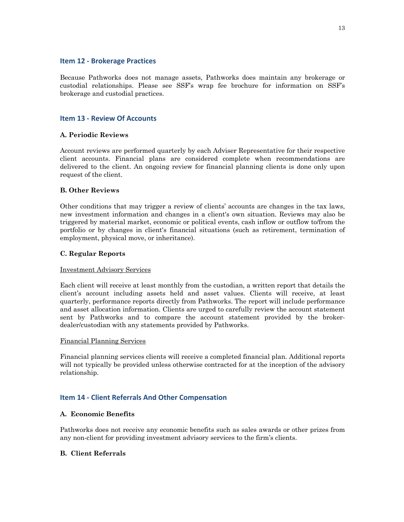# **Item 12 - Brokerage Practices**

Because Pathworks does not manage assets, Pathworks does maintain any brokerage or custodial relationships. Please see SSF's wrap fee brochure for information on SSF's brokerage and custodial practices.

# **Item 13 - Review Of Accounts**

# **A. Periodic Reviews**

Account reviews are performed quarterly by each Adviser Representative for their respective client accounts. Financial plans are considered complete when recommendations are delivered to the client. An ongoing review for financial planning clients is done only upon request of the client.

# **B. Other Reviews**

Other conditions that may trigger a review of clients' accounts are changes in the tax laws, new investment information and changes in a client's own situation. Reviews may also be triggered by material market, economic or political events, cash inflow or outflow to/from the portfolio or by changes in client's financial situations (such as retirement, termination of employment, physical move, or inheritance).

# **C. Regular Reports**

# Investment Advisory Services

Each client will receive at least monthly from the custodian, a written report that details the client's account including assets held and asset values. Clients will receive, at least quarterly, performance reports directly from Pathworks. The report will include performance and asset allocation information. Clients are urged to carefully review the account statement sent by Pathworks and to compare the account statement provided by the brokerdealer/custodian with any statements provided by Pathworks.

# Financial Planning Services

Financial planning services clients will receive a completed financial plan. Additional reports will not typically be provided unless otherwise contracted for at the inception of the advisory relationship.

# **Item 14 - Client Referrals And Other Compensation**

# **A. Economic Benefits**

Pathworks does not receive any economic benefits such as sales awards or other prizes from any non-client for providing investment advisory services to the firm's clients.

# **B. Client Referrals**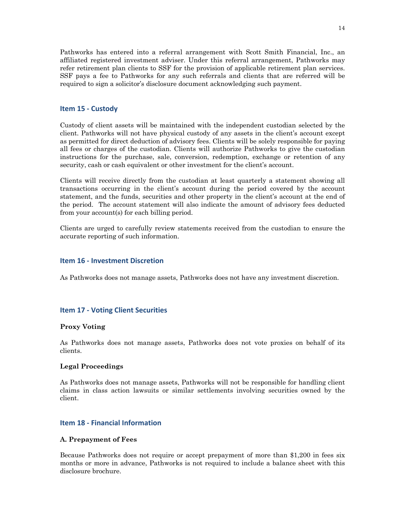Pathworks has entered into a referral arrangement with Scott Smith Financial, Inc., an affiliated registered investment adviser. Under this referral arrangement, Pathworks may refer retirement plan clients to SSF for the provision of applicable retirement plan services. SSF pays a fee to Pathworks for any such referrals and clients that are referred will be required to sign a solicitor's disclosure document acknowledging such payment.

### **Item 15 - Custody**

Custody of client assets will be maintained with the independent custodian selected by the client. Pathworks will not have physical custody of any assets in the client's account except as permitted for direct deduction of advisory fees. Clients will be solely responsible for paying all fees or charges of the custodian. Clients will authorize Pathworks to give the custodian instructions for the purchase, sale, conversion, redemption, exchange or retention of any security, cash or cash equivalent or other investment for the client's account.

Clients will receive directly from the custodian at least quarterly a statement showing all transactions occurring in the client's account during the period covered by the account statement, and the funds, securities and other property in the client's account at the end of the period. The account statement will also indicate the amount of advisory fees deducted from your account(s) for each billing period.

Clients are urged to carefully review statements received from the custodian to ensure the accurate reporting of such information.

### **Item 16 - Investment Discretion**

As Pathworks does not manage assets, Pathworks does not have any investment discretion.

### **Item 17 - Voting Client Securities**

### **Proxy Voting**

As Pathworks does not manage assets, Pathworks does not vote proxies on behalf of its clients.

### **Legal Proceedings**

As Pathworks does not manage assets, Pathworks will not be responsible for handling client claims in class action lawsuits or similar settlements involving securities owned by the client.

### **Item 18 - Financial Information**

### **A. Prepayment of Fees**

Because Pathworks does not require or accept prepayment of more than \$1,200 in fees six months or more in advance, Pathworks is not required to include a balance sheet with this disclosure brochure.